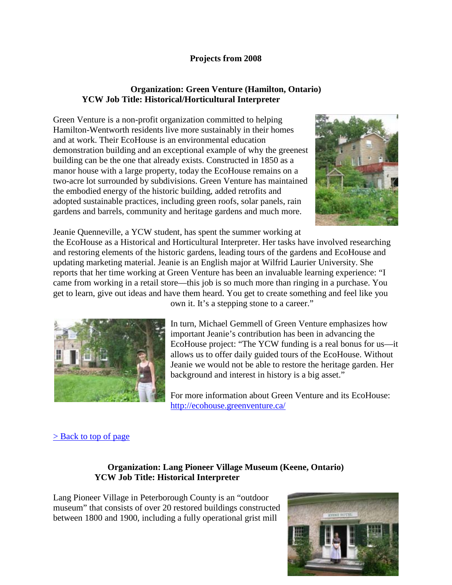# **Projects from 2008**

# **Organization: Green Venture (Hamilton, Ontario) YCW Job Title: Historical/Horticultural Interpreter**

Green Venture is a non-profit organization committed to helping Hamilton-Wentworth residents live more sustainably in their homes and at work. Their EcoHouse is an environmental education demonstration building and an exceptional example of why the greenest building can be the one that already exists. Constructed in 1850 as a manor house with a large property, today the EcoHouse remains on a two-acre lot surrounded by subdivisions. Green Venture has maintained the embodied energy of the historic building, added retrofits and adopted sustainable practices, including green roofs, solar panels, rain gardens and barrels, community and heritage gardens and much more.



Jeanie Quenneville, a YCW student, has spent the summer working at the EcoHouse as a Historical and Horticultural Interpreter. Her tasks have involved researching

and restoring elements of the historic gardens, leading tours of the gardens and EcoHouse and updating marketing material. Jeanie is an English major at Wilfrid Laurier University. She reports that her time working at Green Venture has been an invaluable learning experience: "I came from working in a retail store—this job is so much more than ringing in a purchase. You get to learn, give out ideas and have them heard. You get to create something and feel like you



own it. It's a stepping stone to a career."

In turn, Michael Gemmell of Green Venture emphasizes how important Jeanie's contribution has been in advancing the EcoHouse project: "The YCW funding is a real bonus for us—it allows us to offer daily guided tours of the EcoHouse. Without Jeanie we would not be able to restore the heritage garden. Her background and interest in history is a big asset."

For more information about Green Venture and its EcoHouse: <http://ecohouse.greenventure.ca/>

# > <u>Back to top of page</u>

# **Organization: Lang Pioneer Village Museum (Keene, Ontario) YCW Job Title: Historical Interpreter**

Lang Pioneer Village in Peterborough County is an "outdoor museum" that consists of over 20 restored buildings constructed between 1800 and 1900, including a fully operational grist mill

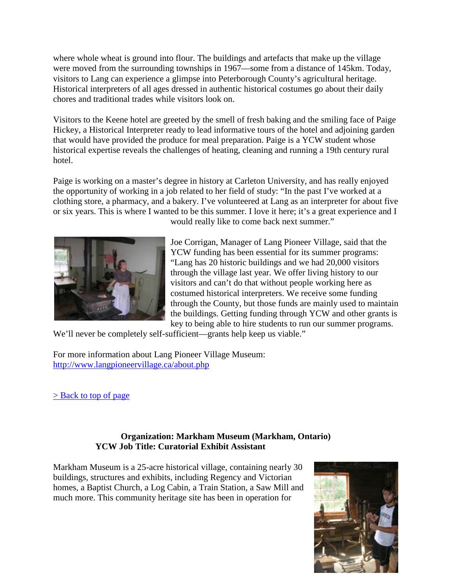where whole wheat is ground into flour. The buildings and artefacts that make up the village were moved from the surrounding townships in 1967—some from a distance of 145km. Today, visitors to Lang can experience a glimpse into Peterborough County's agricultural heritage. Historical interpreters of all ages dressed in authentic historical costumes go about their daily chores and traditional trades while visitors look on.

Visitors to the Keene hotel are greeted by the smell of fresh baking and the smiling face of Paige Hickey, a Historical Interpreter ready to lead informative tours of the hotel and adjoining garden that would have provided the produce for meal preparation. Paige is a YCW student whose historical expertise reveals the challenges of heating, cleaning and running a 19th century rural hotel.

Paige is working on a master's degree in history at Carleton University, and has really enjoyed the opportunity of working in a job related to her field of study: "In the past I've worked at a clothing store, a pharmacy, and a bakery. I've volunteered at Lang as an interpreter for about five or six years. This is where I wanted to be this summer. I love it here; it's a great experience and I



would really like to come back next summer."

Joe Corrigan, Manager of Lang Pioneer Village, said that the YCW funding has been essential for its summer programs: "Lang has 20 historic buildings and we had 20,000 visitors through the village last year. We offer living history to our visitors and can't do that without people working here as costumed historical interpreters. We receive some funding through the County, but those funds are mainly used to maintain the buildings. Getting funding through YCW and other grants is key to being able to hire students to run our summer programs.

We'll never be completely self-sufficient—grants help keep us viable."

For more information about Lang Pioneer Village Museum: <http://www.langpioneervillage.ca/about.php>

[> Back to top of page](http://www.heritagecanada.org/eng/services/works_2008_pop01.htm#top)

# **Organization: Markham Museum (Markham, Ontario) YCW Job Title: Curatorial Exhibit Assistant**

Markham Museum is a 25-acre historical village, containing nearly 30 buildings, structures and exhibits, including Regency and Victorian homes, a Baptist Church, a Log Cabin, a Train Station, a Saw Mill and much more. This community heritage site has been in operation for

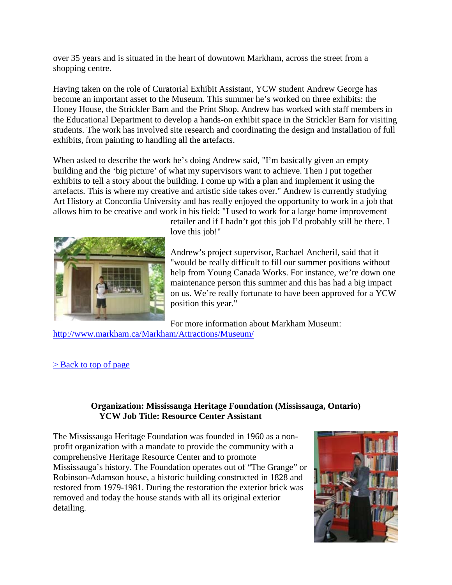over 35 years and is situated in the heart of downtown Markham, across the street from a shopping centre.

Having taken on the role of Curatorial Exhibit Assistant, YCW student Andrew George has become an important asset to the Museum. This summer he's worked on three exhibits: the Honey House, the Strickler Barn and the Print Shop. Andrew has worked with staff members in the Educational Department to develop a hands-on exhibit space in the Strickler Barn for visiting students. The work has involved site research and coordinating the design and installation of full exhibits, from painting to handling all the artefacts.

When asked to describe the work he's doing Andrew said, "I'm basically given an empty building and the 'big picture' of what my supervisors want to achieve. Then I put together exhibits to tell a story about the building. I come up with a plan and implement it using the artefacts. This is where my creative and artistic side takes over." Andrew is currently studying Art History at Concordia University and has really enjoyed the opportunity to work in a job that allows him to be creative and work in his field: "I used to work for a large home improvement



retailer and if I hadn't got this job I'd probably still be there. I love this job!"

Andrew's project supervisor, Rachael Ancheril, said that it "would be really difficult to fill our summer positions without help from Young Canada Works. For instance, we're down one maintenance person this summer and this has had a big impact on us. We're really fortunate to have been approved for a YCW position this year."

For more information about Markham Museum:

<http://www.markham.ca/Markham/Attractions/Museum/>

 $>$  Back to top of page

# **Organization: Mississauga Heritage Foundation (Mississauga, Ontario) YCW Job Title: Resource Center Assistant**

The Mississauga Heritage Foundation was founded in 1960 as a nonprofit organization with a mandate to provide the community with a comprehensive Heritage Resource Center and to promote Mississauga's history. The Foundation operates out of "The Grange" or Robinson-Adamson house, a historic building constructed in 1828 and restored from 1979-1981. During the restoration the exterior brick was removed and today the house stands with all its original exterior detailing.